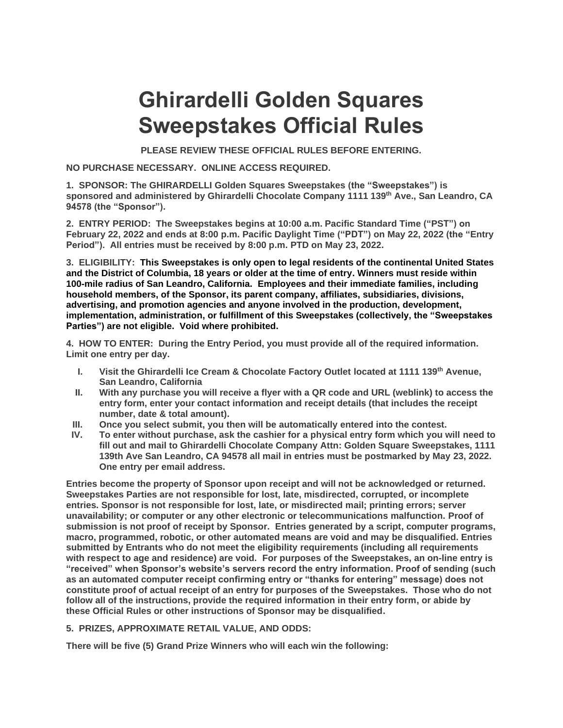## **Ghirardelli Golden Squares Sweepstakes Official Rules**

**PLEASE REVIEW THESE OFFICIAL RULES BEFORE ENTERING.**

**NO PURCHASE NECESSARY. ONLINE ACCESS REQUIRED.**

**1. SPONSOR: The GHIRARDELLI Golden Squares Sweepstakes (the "Sweepstakes") is sponsored and administered by Ghirardelli Chocolate Company 1111 139th Ave., San Leandro, CA 94578 (the "Sponsor").**

**2. ENTRY PERIOD: The Sweepstakes begins at 10:00 a.m. Pacific Standard Time ("PST") on February 22, 2022 and ends at 8:00 p.m. Pacific Daylight Time ("PDT") on May 22, 2022 (the "Entry Period"). All entries must be received by 8:00 p.m. PTD on May 23, 2022.**

**3. ELIGIBILITY: This Sweepstakes is only open to legal residents of the continental United States and the District of Columbia, 18 years or older at the time of entry. Winners must reside within 100-mile radius of San Leandro, California. Employees and their immediate families, including household members, of the Sponsor, its parent company, affiliates, subsidiaries, divisions, advertising, and promotion agencies and anyone involved in the production, development, implementation, administration, or fulfillment of this Sweepstakes (collectively, the "Sweepstakes Parties") are not eligible. Void where prohibited.**

**4. HOW TO ENTER: During the Entry Period, you must provide all of the required information. Limit one entry per day.**

- **I. Visit the Ghirardelli Ice Cream & Chocolate Factory Outlet located at 1111 139th Avenue, San Leandro, California**
- **II. With any purchase you will receive a flyer with a QR code and URL (weblink) to access the entry form, enter your contact information and receipt details (that includes the receipt number, date & total amount).**
- **III. Once you select submit, you then will be automatically entered into the contest.**
- **IV. To enter without purchase, ask the cashier for a physical entry form which you will need to fill out and mail to Ghirardelli Chocolate Company Attn: Golden Square Sweepstakes, 1111 139th Ave San Leandro, CA 94578 all mail in entries must be postmarked by May 23, 2022. One entry per email address.**

**Entries become the property of Sponsor upon receipt and will not be acknowledged or returned. Sweepstakes Parties are not responsible for lost, late, misdirected, corrupted, or incomplete entries. Sponsor is not responsible for lost, late, or misdirected mail; printing errors; server unavailability; or computer or any other electronic or telecommunications malfunction. Proof of submission is not proof of receipt by Sponsor. Entries generated by a script, computer programs, macro, programmed, robotic, or other automated means are void and may be disqualified. Entries submitted by Entrants who do not meet the eligibility requirements (including all requirements with respect to age and residence) are void. For purposes of the Sweepstakes, an on-line entry is "received" when Sponsor's website's servers record the entry information. Proof of sending (such as an automated computer receipt confirming entry or "thanks for entering" message) does not constitute proof of actual receipt of an entry for purposes of the Sweepstakes. Those who do not follow all of the instructions, provide the required information in their entry form, or abide by these Official Rules or other instructions of Sponsor may be disqualified.**

## **5. PRIZES, APPROXIMATE RETAIL VALUE, AND ODDS:**

**There will be five (5) Grand Prize Winners who will each win the following:**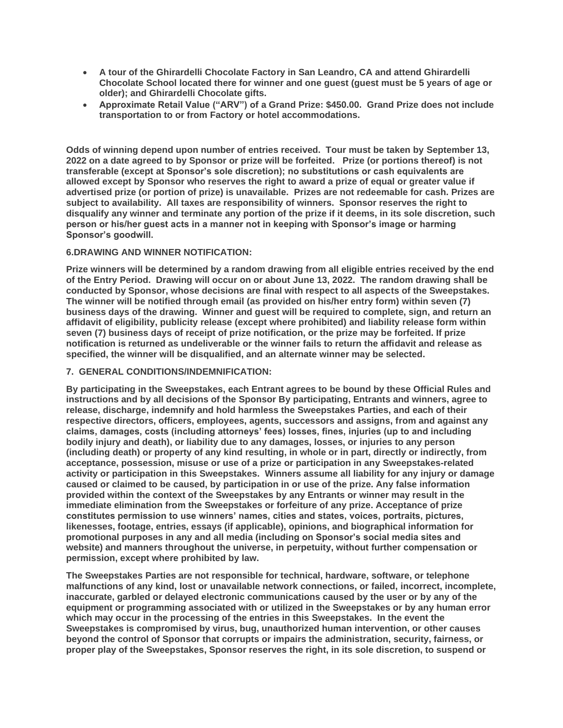- **A tour of the Ghirardelli Chocolate Factory in San Leandro, CA and attend Ghirardelli Chocolate School located there for winner and one guest (guest must be 5 years of age or older); and Ghirardelli Chocolate gifts.**
- **Approximate Retail Value ("ARV") of a Grand Prize: \$450.00. Grand Prize does not include transportation to or from Factory or hotel accommodations.**

**Odds of winning depend upon number of entries received. Tour must be taken by September 13, 2022 on a date agreed to by Sponsor or prize will be forfeited. Prize (or portions thereof) is not transferable (except at Sponsor's sole discretion); no substitutions or cash equivalents are allowed except by Sponsor who reserves the right to award a prize of equal or greater value if advertised prize (or portion of prize) is unavailable. Prizes are not redeemable for cash. Prizes are subject to availability. All taxes are responsibility of winners. Sponsor reserves the right to disqualify any winner and terminate any portion of the prize if it deems, in its sole discretion, such person or his/her guest acts in a manner not in keeping with Sponsor's image or harming Sponsor's goodwill.**

## **6.DRAWING AND WINNER NOTIFICATION:**

**Prize winners will be determined by a random drawing from all eligible entries received by the end of the Entry Period. Drawing will occur on or about June 13, 2022. The random drawing shall be conducted by Sponsor, whose decisions are final with respect to all aspects of the Sweepstakes. The winner will be notified through email (as provided on his/her entry form) within seven (7) business days of the drawing. Winner and guest will be required to complete, sign, and return an affidavit of eligibility, publicity release (except where prohibited) and liability release form within seven (7) business days of receipt of prize notification, or the prize may be forfeited. If prize notification is returned as undeliverable or the winner fails to return the affidavit and release as specified, the winner will be disqualified, and an alternate winner may be selected.** 

## **7. GENERAL CONDITIONS/INDEMNIFICATION:**

**By participating in the Sweepstakes, each Entrant agrees to be bound by these Official Rules and instructions and by all decisions of the Sponsor By participating, Entrants and winners, agree to release, discharge, indemnify and hold harmless the Sweepstakes Parties, and each of their respective directors, officers, employees, agents, successors and assigns, from and against any claims, damages, costs (including attorneys' fees) losses, fines, injuries (up to and including bodily injury and death), or liability due to any damages, losses, or injuries to any person (including death) or property of any kind resulting, in whole or in part, directly or indirectly, from acceptance, possession, misuse or use of a prize or participation in any Sweepstakes-related activity or participation in this Sweepstakes. Winners assume all liability for any injury or damage caused or claimed to be caused, by participation in or use of the prize. Any false information provided within the context of the Sweepstakes by any Entrants or winner may result in the immediate elimination from the Sweepstakes or forfeiture of any prize. Acceptance of prize constitutes permission to use winners' names, cities and states, voices, portraits, pictures, likenesses, footage, entries, essays (if applicable), opinions, and biographical information for promotional purposes in any and all media (including on Sponsor's social media sites and website) and manners throughout the universe, in perpetuity, without further compensation or permission, except where prohibited by law.** 

**The Sweepstakes Parties are not responsible for technical, hardware, software, or telephone malfunctions of any kind, lost or unavailable network connections, or failed, incorrect, incomplete, inaccurate, garbled or delayed electronic communications caused by the user or by any of the equipment or programming associated with or utilized in the Sweepstakes or by any human error which may occur in the processing of the entries in this Sweepstakes. In the event the Sweepstakes is compromised by virus, bug, unauthorized human intervention, or other causes beyond the control of Sponsor that corrupts or impairs the administration, security, fairness, or proper play of the Sweepstakes, Sponsor reserves the right, in its sole discretion, to suspend or**